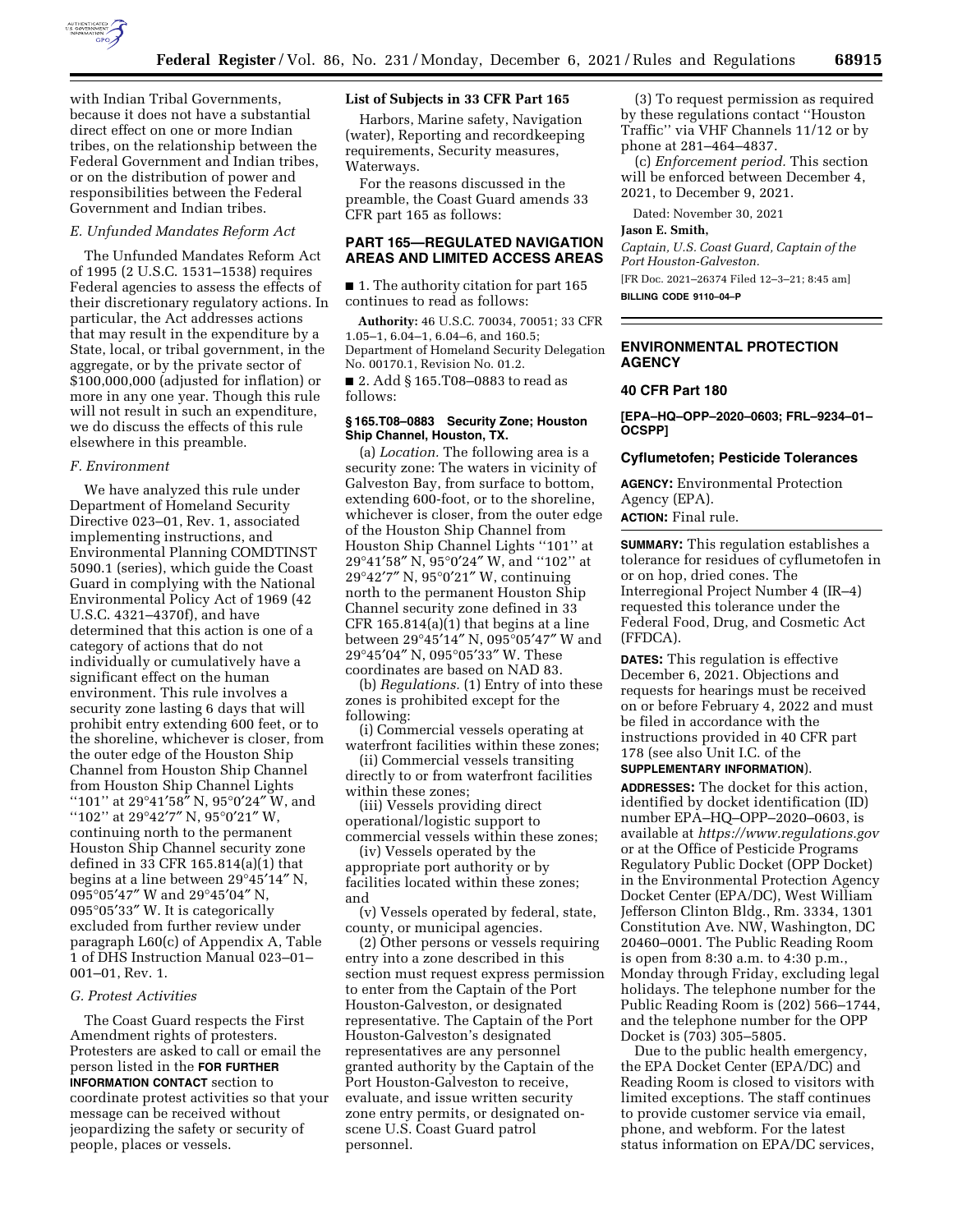

with Indian Tribal Governments, because it does not have a substantial direct effect on one or more Indian tribes, on the relationship between the Federal Government and Indian tribes, or on the distribution of power and responsibilities between the Federal Government and Indian tribes.

#### *E. Unfunded Mandates Reform Act*

The Unfunded Mandates Reform Act of 1995 (2 U.S.C. 1531–1538) requires Federal agencies to assess the effects of their discretionary regulatory actions. In particular, the Act addresses actions that may result in the expenditure by a State, local, or tribal government, in the aggregate, or by the private sector of \$100,000,000 (adjusted for inflation) or more in any one year. Though this rule will not result in such an expenditure, we do discuss the effects of this rule elsewhere in this preamble.

#### *F. Environment*

We have analyzed this rule under Department of Homeland Security Directive 023–01, Rev. 1, associated implementing instructions, and Environmental Planning COMDTINST 5090.1 (series), which guide the Coast Guard in complying with the National Environmental Policy Act of 1969 (42 U.S.C. 4321–4370f), and have determined that this action is one of a category of actions that do not individually or cumulatively have a significant effect on the human environment. This rule involves a security zone lasting 6 days that will prohibit entry extending 600 feet, or to the shoreline, whichever is closer, from the outer edge of the Houston Ship Channel from Houston Ship Channel from Houston Ship Channel Lights ''101'' at 29°41′58″ N, 95°0′24″ W, and "102" at 29°42'7" N, 95°0'21" W, continuing north to the permanent Houston Ship Channel security zone defined in 33 CFR 165.814(a)(1) that begins at a line between 29°45′14″ N, 095°05′47″ W and 29°45′04″ N, 095°05′33″ W. It is categorically excluded from further review under paragraph L60(c) of Appendix A, Table 1 of DHS Instruction Manual 023–01– 001–01, Rev. 1.

#### *G. Protest Activities*

The Coast Guard respects the First Amendment rights of protesters. Protesters are asked to call or email the person listed in the **FOR FURTHER INFORMATION CONTACT** section to coordinate protest activities so that your message can be received without jeopardizing the safety or security of people, places or vessels.

#### **List of Subjects in 33 CFR Part 165**

Harbors, Marine safety, Navigation (water), Reporting and recordkeeping requirements, Security measures, Waterways.

For the reasons discussed in the preamble, the Coast Guard amends 33 CFR part 165 as follows:

# **PART 165—REGULATED NAVIGATION AREAS AND LIMITED ACCESS AREAS**

■ 1. The authority citation for part 165 continues to read as follows:

**Authority:** 46 U.S.C. 70034, 70051; 33 CFR 1.05–1, 6.04–1, 6.04–6, and 160.5; Department of Homeland Security Delegation No. 00170.1, Revision No. 01.2.

■ 2. Add § 165.T08-0883 to read as follows:

# **§ 165.T08–0883 Security Zone; Houston Ship Channel, Houston, TX.**

(a) *Location.* The following area is a security zone: The waters in vicinity of Galveston Bay, from surface to bottom, extending 600-foot, or to the shoreline, whichever is closer, from the outer edge of the Houston Ship Channel from Houston Ship Channel Lights ''101'' at 29°41′58″ N, 95°0′24″ W, and ''102'' at 29°42′7″ N, 95°0′21″ W, continuing north to the permanent Houston Ship Channel security zone defined in 33 CFR 165.814(a)(1) that begins at a line between 29°45′14″ N, 095°05′47″ W and 29°45′04″ N, 095°05′33″ W. These coordinates are based on NAD 83.

(b) *Regulations.* (1) Entry of into these zones is prohibited except for the following:

(i) Commercial vessels operating at waterfront facilities within these zones;

(ii) Commercial vessels transiting directly to or from waterfront facilities within these zones;

(iii) Vessels providing direct operational/logistic support to commercial vessels within these zones;

(iv) Vessels operated by the appropriate port authority or by facilities located within these zones; and

(v) Vessels operated by federal, state, county, or municipal agencies.

(2) Other persons or vessels requiring entry into a zone described in this section must request express permission to enter from the Captain of the Port Houston-Galveston, or designated representative. The Captain of the Port Houston-Galveston's designated representatives are any personnel granted authority by the Captain of the Port Houston-Galveston to receive, evaluate, and issue written security zone entry permits, or designated onscene U.S. Coast Guard patrol personnel.

(3) To request permission as required by these regulations contact ''Houston Traffic'' via VHF Channels 11/12 or by phone at 281–464–4837.

(c) *Enforcement period.* This section will be enforced between December 4, 2021, to December 9, 2021.

Dated: November 30, 2021

# **Jason E. Smith,**

*Captain, U.S. Coast Guard, Captain of the Port Houston-Galveston.* 

[FR Doc. 2021–26374 Filed 12–3–21; 8:45 am] **BILLING CODE 9110–04–P** 

# **ENVIRONMENTAL PROTECTION AGENCY**

#### **40 CFR Part 180**

**[EPA–HQ–OPP–2020–0603; FRL–9234–01– OCSPP]** 

# **Cyflumetofen; Pesticide Tolerances**

**AGENCY:** Environmental Protection Agency (EPA).

**ACTION:** Final rule.

**SUMMARY:** This regulation establishes a tolerance for residues of cyflumetofen in or on hop, dried cones. The Interregional Project Number 4 (IR–4) requested this tolerance under the Federal Food, Drug, and Cosmetic Act (FFDCA).

**DATES:** This regulation is effective December 6, 2021. Objections and requests for hearings must be received on or before February 4, 2022 and must be filed in accordance with the instructions provided in 40 CFR part 178 (see also Unit I.C. of the

# **SUPPLEMENTARY INFORMATION**).

**ADDRESSES:** The docket for this action, identified by docket identification (ID) number EPA–HQ–OPP–2020–0603, is available at *<https://www.regulations.gov>* or at the Office of Pesticide Programs Regulatory Public Docket (OPP Docket) in the Environmental Protection Agency Docket Center (EPA/DC), West William Jefferson Clinton Bldg., Rm. 3334, 1301 Constitution Ave. NW, Washington, DC 20460–0001. The Public Reading Room is open from 8:30 a.m. to 4:30 p.m., Monday through Friday, excluding legal holidays. The telephone number for the Public Reading Room is (202) 566–1744, and the telephone number for the OPP Docket is (703) 305–5805.

Due to the public health emergency, the EPA Docket Center (EPA/DC) and Reading Room is closed to visitors with limited exceptions. The staff continues to provide customer service via email, phone, and webform. For the latest status information on EPA/DC services,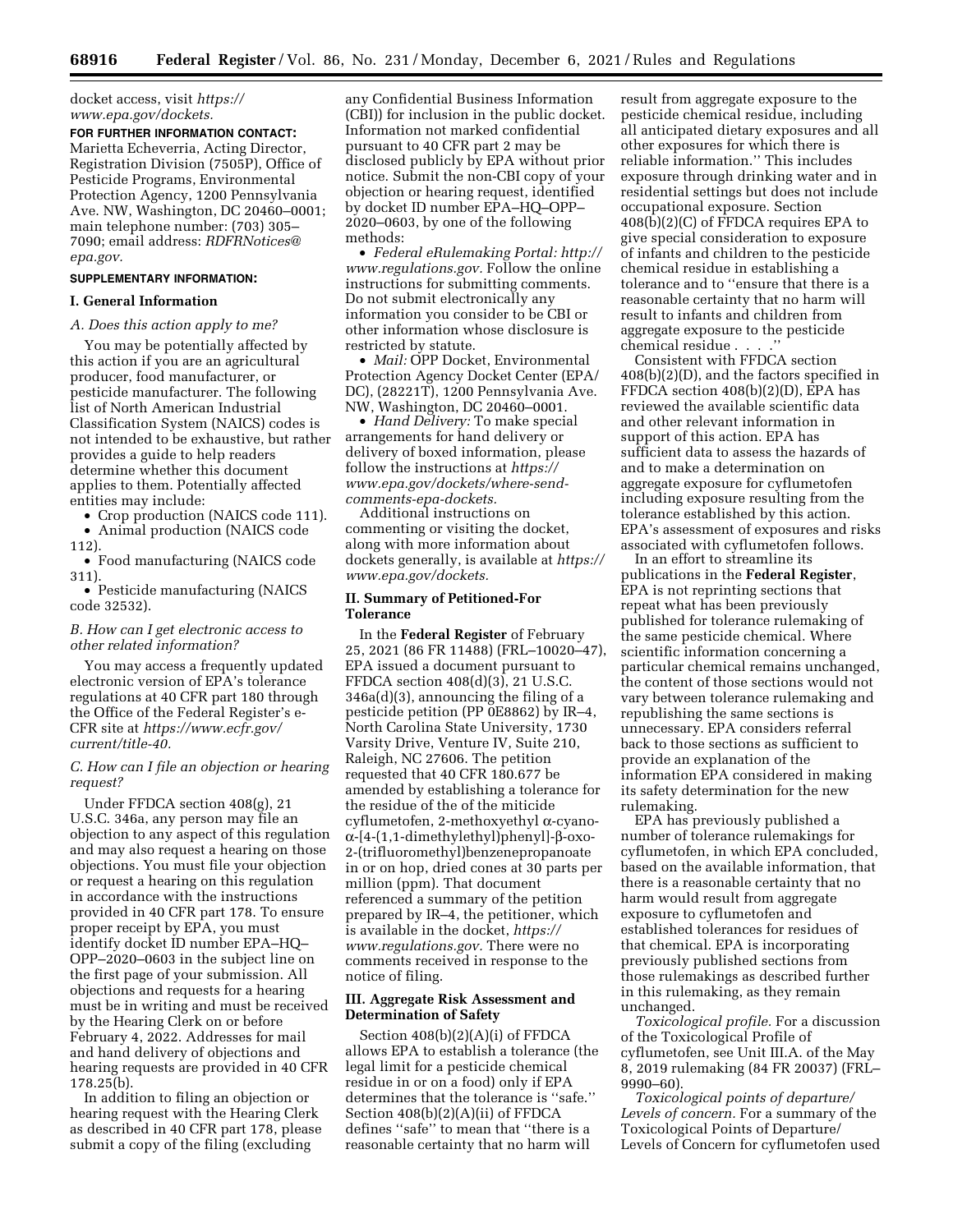docket access, visit *[https://](https://www.epa.gov/dockets) [www.epa.gov/dockets.](https://www.epa.gov/dockets)* 

## **FOR FURTHER INFORMATION CONTACT:**  Marietta Echeverria, Acting Director,

Registration Division (7505P), Office of Pesticide Programs, Environmental Protection Agency, 1200 Pennsylvania Ave. NW, Washington, DC 20460–0001; main telephone number: (703) 305– 7090; email address: *[RDFRNotices@](mailto:RDFRNotices@epa.gov) [epa.gov.](mailto:RDFRNotices@epa.gov)* 

#### **SUPPLEMENTARY INFORMATION:**

## **I. General Information**

# *A. Does this action apply to me?*

You may be potentially affected by this action if you are an agricultural producer, food manufacturer, or pesticide manufacturer. The following list of North American Industrial Classification System (NAICS) codes is not intended to be exhaustive, but rather provides a guide to help readers determine whether this document applies to them. Potentially affected entities may include:

• Crop production (NAICS code 111). • Animal production (NAICS code

- 
- 112). • Food manufacturing (NAICS code

311). • Pesticide manufacturing (NAICS

code 32532).

# *B. How can I get electronic access to other related information?*

You may access a frequently updated electronic version of EPA's tolerance regulations at 40 CFR part 180 through the Office of the Federal Register's e-CFR site at *[https://www.ecfr.gov/](https://www.ecfr.gov/current/title-40) [current/title-40.](https://www.ecfr.gov/current/title-40)* 

# *C. How can I file an objection or hearing request?*

Under FFDCA section 408(g), 21 U.S.C. 346a, any person may file an objection to any aspect of this regulation and may also request a hearing on those objections. You must file your objection or request a hearing on this regulation in accordance with the instructions provided in 40 CFR part 178. To ensure proper receipt by EPA, you must identify docket ID number EPA–HQ– OPP–2020–0603 in the subject line on the first page of your submission. All objections and requests for a hearing must be in writing and must be received by the Hearing Clerk on or before February 4, 2022. Addresses for mail and hand delivery of objections and hearing requests are provided in 40 CFR 178.25(b).

In addition to filing an objection or hearing request with the Hearing Clerk as described in 40 CFR part 178, please submit a copy of the filing (excluding

any Confidential Business Information (CBI)) for inclusion in the public docket. Information not marked confidential pursuant to 40 CFR part 2 may be disclosed publicly by EPA without prior notice. Submit the non-CBI copy of your objection or hearing request, identified by docket ID number EPA–HQ–OPP– 2020–0603, by one of the following methods:

• *Federal eRulemaking Portal: [http://](http://www.regulations.gov)  [www.regulations.gov.](http://www.regulations.gov)* Follow the online instructions for submitting comments. Do not submit electronically any information you consider to be CBI or other information whose disclosure is restricted by statute.

• *Mail:* OPP Docket, Environmental Protection Agency Docket Center (EPA/ DC), (28221T), 1200 Pennsylvania Ave. NW, Washington, DC 20460–0001.

• *Hand Delivery:* To make special arrangements for hand delivery or delivery of boxed information, please follow the instructions at *[https://](https://www.epa.gov/dockets/where-send-comments-epa-dockets) [www.epa.gov/dockets/where-send](https://www.epa.gov/dockets/where-send-comments-epa-dockets)[comments-epa-dockets.](https://www.epa.gov/dockets/where-send-comments-epa-dockets)* 

Additional instructions on commenting or visiting the docket, along with more information about dockets generally, is available at *[https://](https://www.epa.gov/dockets) [www.epa.gov/dockets.](https://www.epa.gov/dockets)* 

#### **II. Summary of Petitioned-For Tolerance**

In the **Federal Register** of February 25, 2021 (86 FR 11488) (FRL–10020–47), EPA issued a document pursuant to FFDCA section 408(d)(3), 21 U.S.C. 346a(d)(3), announcing the filing of a pesticide petition (PP 0E8862) by IR–4, North Carolina State University, 1730 Varsity Drive, Venture IV, Suite 210, Raleigh, NC 27606. The petition requested that 40 CFR 180.677 be amended by establishing a tolerance for the residue of the of the miticide cyflumetofen, 2-methoxyethyl a-cyano- $\alpha$ -[4-(1,1-dimethylethyl)phenyl]- $\beta$ -oxo-2-(trifluoromethyl)benzenepropanoate in or on hop, dried cones at 30 parts per million (ppm). That document referenced a summary of the petition prepared by IR–4, the petitioner, which is available in the docket, *[https://](https://www.regulations.gov) [www.regulations.gov.](https://www.regulations.gov)* There were no comments received in response to the notice of filing.

# **III. Aggregate Risk Assessment and Determination of Safety**

Section 408(b)(2)(A)(i) of FFDCA allows EPA to establish a tolerance (the legal limit for a pesticide chemical residue in or on a food) only if EPA determines that the tolerance is ''safe.'' Section 408(b)(2)(A)(ii) of FFDCA defines ''safe'' to mean that ''there is a reasonable certainty that no harm will

result from aggregate exposure to the pesticide chemical residue, including all anticipated dietary exposures and all other exposures for which there is reliable information.'' This includes exposure through drinking water and in residential settings but does not include occupational exposure. Section 408(b)(2)(C) of FFDCA requires EPA to give special consideration to exposure of infants and children to the pesticide chemical residue in establishing a tolerance and to ''ensure that there is a reasonable certainty that no harm will result to infants and children from aggregate exposure to the pesticide chemical residue . . . .''

Consistent with FFDCA section 408(b)(2)(D), and the factors specified in FFDCA section 408(b)(2)(D), EPA has reviewed the available scientific data and other relevant information in support of this action. EPA has sufficient data to assess the hazards of and to make a determination on aggregate exposure for cyflumetofen including exposure resulting from the tolerance established by this action. EPA's assessment of exposures and risks associated with cyflumetofen follows.

In an effort to streamline its publications in the **Federal Register**, EPA is not reprinting sections that repeat what has been previously published for tolerance rulemaking of the same pesticide chemical. Where scientific information concerning a particular chemical remains unchanged, the content of those sections would not vary between tolerance rulemaking and republishing the same sections is unnecessary. EPA considers referral back to those sections as sufficient to provide an explanation of the information EPA considered in making its safety determination for the new rulemaking.

EPA has previously published a number of tolerance rulemakings for cyflumetofen, in which EPA concluded, based on the available information, that there is a reasonable certainty that no harm would result from aggregate exposure to cyflumetofen and established tolerances for residues of that chemical. EPA is incorporating previously published sections from those rulemakings as described further in this rulemaking, as they remain unchanged.

*Toxicological profile.* For a discussion of the Toxicological Profile of cyflumetofen, see Unit III.A. of the May 8, 2019 rulemaking (84 FR 20037) (FRL– 9990–60).

*Toxicological points of departure/ Levels of concern.* For a summary of the Toxicological Points of Departure/ Levels of Concern for cyflumetofen used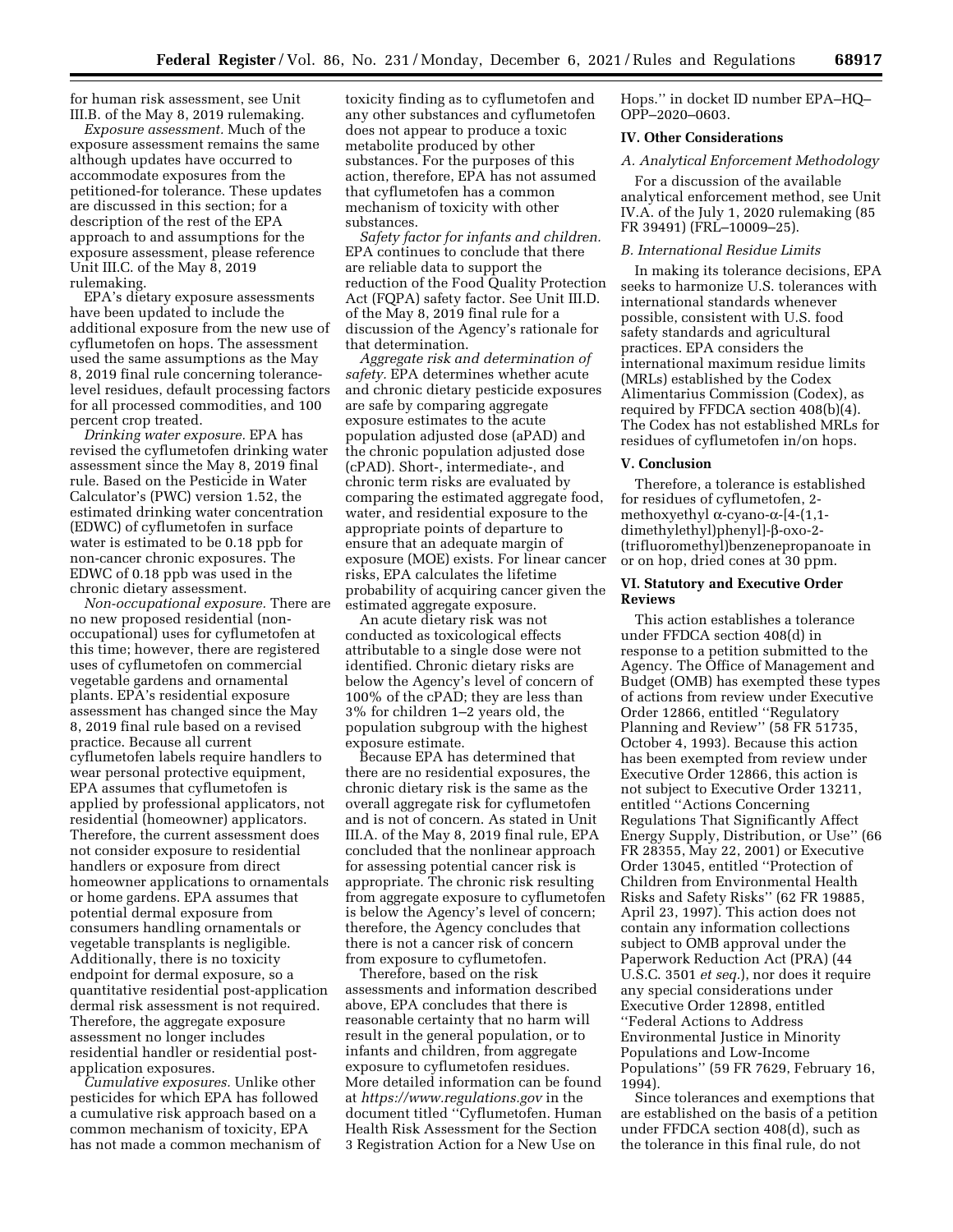for human risk assessment, see Unit III.B. of the May 8, 2019 rulemaking.

*Exposure assessment.* Much of the exposure assessment remains the same although updates have occurred to accommodate exposures from the petitioned-for tolerance. These updates are discussed in this section; for a description of the rest of the EPA approach to and assumptions for the exposure assessment, please reference Unit III.C. of the May 8, 2019 rulemaking.

EPA's dietary exposure assessments have been updated to include the additional exposure from the new use of cyflumetofen on hops. The assessment used the same assumptions as the May 8, 2019 final rule concerning tolerancelevel residues, default processing factors for all processed commodities, and 100 percent crop treated.

*Drinking water exposure.* EPA has revised the cyflumetofen drinking water assessment since the May 8, 2019 final rule. Based on the Pesticide in Water Calculator's (PWC) version 1.52, the estimated drinking water concentration (EDWC) of cyflumetofen in surface water is estimated to be 0.18 ppb for non-cancer chronic exposures. The EDWC of 0.18 ppb was used in the chronic dietary assessment.

*Non-occupational exposure.* There are no new proposed residential (nonoccupational) uses for cyflumetofen at this time; however, there are registered uses of cyflumetofen on commercial vegetable gardens and ornamental plants. EPA's residential exposure assessment has changed since the May 8, 2019 final rule based on a revised practice. Because all current cyflumetofen labels require handlers to wear personal protective equipment, EPA assumes that cyflumetofen is applied by professional applicators, not residential (homeowner) applicators. Therefore, the current assessment does not consider exposure to residential handlers or exposure from direct homeowner applications to ornamentals or home gardens. EPA assumes that potential dermal exposure from consumers handling ornamentals or vegetable transplants is negligible. Additionally, there is no toxicity endpoint for dermal exposure, so a quantitative residential post-application dermal risk assessment is not required. Therefore, the aggregate exposure assessment no longer includes residential handler or residential postapplication exposures.

*Cumulative exposures.* Unlike other pesticides for which EPA has followed a cumulative risk approach based on a common mechanism of toxicity, EPA has not made a common mechanism of toxicity finding as to cyflumetofen and any other substances and cyflumetofen does not appear to produce a toxic metabolite produced by other substances. For the purposes of this action, therefore, EPA has not assumed that cyflumetofen has a common mechanism of toxicity with other substances.

*Safety factor for infants and children.*  EPA continues to conclude that there are reliable data to support the reduction of the Food Quality Protection Act (FQPA) safety factor. See Unit III.D. of the May 8, 2019 final rule for a discussion of the Agency's rationale for that determination.

*Aggregate risk and determination of safety.* EPA determines whether acute and chronic dietary pesticide exposures are safe by comparing aggregate exposure estimates to the acute population adjusted dose (aPAD) and the chronic population adjusted dose (cPAD). Short-, intermediate-, and chronic term risks are evaluated by comparing the estimated aggregate food, water, and residential exposure to the appropriate points of departure to ensure that an adequate margin of exposure (MOE) exists. For linear cancer risks, EPA calculates the lifetime probability of acquiring cancer given the estimated aggregate exposure.

An acute dietary risk was not conducted as toxicological effects attributable to a single dose were not identified. Chronic dietary risks are below the Agency's level of concern of 100% of the cPAD; they are less than 3% for children 1–2 years old, the population subgroup with the highest exposure estimate.

Because EPA has determined that there are no residential exposures, the chronic dietary risk is the same as the overall aggregate risk for cyflumetofen and is not of concern. As stated in Unit III.A. of the May 8, 2019 final rule, EPA concluded that the nonlinear approach for assessing potential cancer risk is appropriate. The chronic risk resulting from aggregate exposure to cyflumetofen is below the Agency's level of concern; therefore, the Agency concludes that there is not a cancer risk of concern from exposure to cyflumetofen.

Therefore, based on the risk assessments and information described above, EPA concludes that there is reasonable certainty that no harm will result in the general population, or to infants and children, from aggregate exposure to cyflumetofen residues. More detailed information can be found at *<https://www.regulations.gov>* in the document titled ''Cyflumetofen. Human Health Risk Assessment for the Section 3 Registration Action for a New Use on

Hops.'' in docket ID number EPA–HQ– OPP–2020–0603.

### **IV. Other Considerations**

#### *A. Analytical Enforcement Methodology*

For a discussion of the available analytical enforcement method, see Unit IV.A. of the July 1, 2020 rulemaking (85 FR 39491) (FRL–10009–25).

## *B. International Residue Limits*

In making its tolerance decisions, EPA seeks to harmonize U.S. tolerances with international standards whenever possible, consistent with U.S. food safety standards and agricultural practices. EPA considers the international maximum residue limits (MRLs) established by the Codex Alimentarius Commission (Codex), as required by FFDCA section 408(b)(4). The Codex has not established MRLs for residues of cyflumetofen in/on hops.

# **V. Conclusion**

Therefore, a tolerance is established for residues of cyflumetofen, 2 methoxyethyl  $\alpha$ -cyano- $\alpha$ -[4-(1,1dimethylethyl)phenyl]-β-oxo-2-(trifluoromethyl)benzenepropanoate in or on hop, dried cones at 30 ppm.

#### **VI. Statutory and Executive Order Reviews**

This action establishes a tolerance under FFDCA section 408(d) in response to a petition submitted to the Agency. The Office of Management and Budget (OMB) has exempted these types of actions from review under Executive Order 12866, entitled ''Regulatory Planning and Review'' (58 FR 51735, October 4, 1993). Because this action has been exempted from review under Executive Order 12866, this action is not subject to Executive Order 13211, entitled ''Actions Concerning Regulations That Significantly Affect Energy Supply, Distribution, or Use'' (66 FR 28355, May 22, 2001) or Executive Order 13045, entitled ''Protection of Children from Environmental Health Risks and Safety Risks'' (62 FR 19885, April 23, 1997). This action does not contain any information collections subject to OMB approval under the Paperwork Reduction Act (PRA) (44 U.S.C. 3501 *et seq.*), nor does it require any special considerations under Executive Order 12898, entitled ''Federal Actions to Address Environmental Justice in Minority Populations and Low-Income Populations'' (59 FR 7629, February 16, 1994).

Since tolerances and exemptions that are established on the basis of a petition under FFDCA section 408(d), such as the tolerance in this final rule, do not